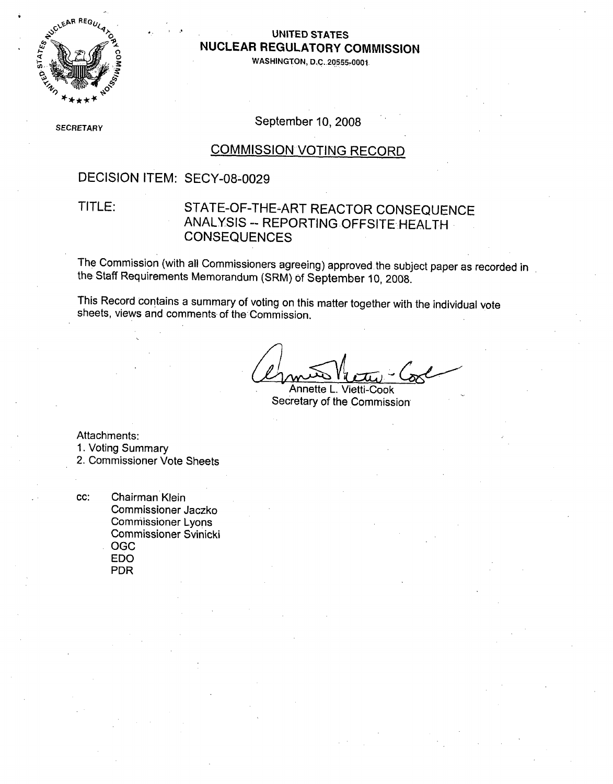

### " **-UNITED STATES NUCLEAR** REGULATORY **COMMISSION**

**WASHINGTON,** D.C.,20555-0001

**SECRETARY** 

September 10, 2008

## COMMISSION VOTING RECORD

## DECISION ITEM: SECY-08-0029

## TITLE: STATE-OF-THE-ART REACTOR CONSEQUENCE ANALYSIS -- REPORTING OFFSITE HEALTH **CONSEQUENCES**

The Commission (with all Commissioners agreeing) approved the subject paper as recorded in the Staff Requirements Memorandum (SRM) **of** September 10, 2008.

This Record contains a summary of voting on this matter together with the individual vote sheets, views and comments of the Commission.

Annette L. Vietti-Cook Secretary of the Commission

Attachments:

1. Voting Summary

2. Commissioner Vote Sheets

cc: Chairman Klein Commissioner Jaczko Commissioner Lyons Commissioner Svinicki OGC **EDO** PDR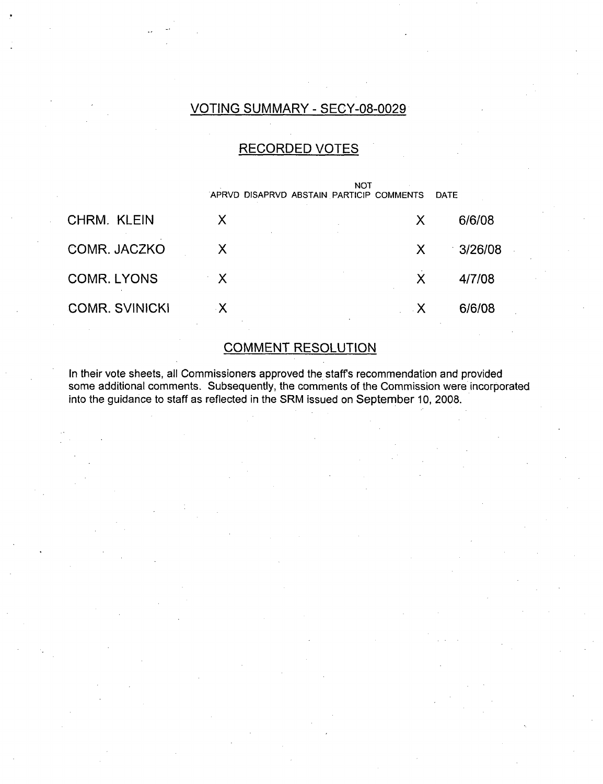### VOTING SUMMARY - SECY-08-0029

## RECORDED VOTES

|                       |              | NOT<br>APRVD DISAPRVD ABSTAIN PARTICIP COMMENTS |              | <b>DATE</b> |
|-----------------------|--------------|-------------------------------------------------|--------------|-------------|
| CHRM. KLEIN           | X            |                                                 | X            | 6/6/08      |
| COMR. JACZKO          | $\mathsf{X}$ |                                                 | X            | 3/26/08     |
| <b>COMR. LYONS</b>    | $\mathbf{X}$ |                                                 | X            | 4/7/08      |
| <b>COMR. SVINICKI</b> | $\mathsf{X}$ |                                                 | $\mathbf{X}$ | 6/6/08      |

## COMMENT RESOLUTION

In their vote sheets, all Commissioners approved the staffs recommendation and provided some additional comments. Subsequently, the comments of the Commission were incorporated into the guidance to staff as reflected in the SRM issued on September 10, 2008.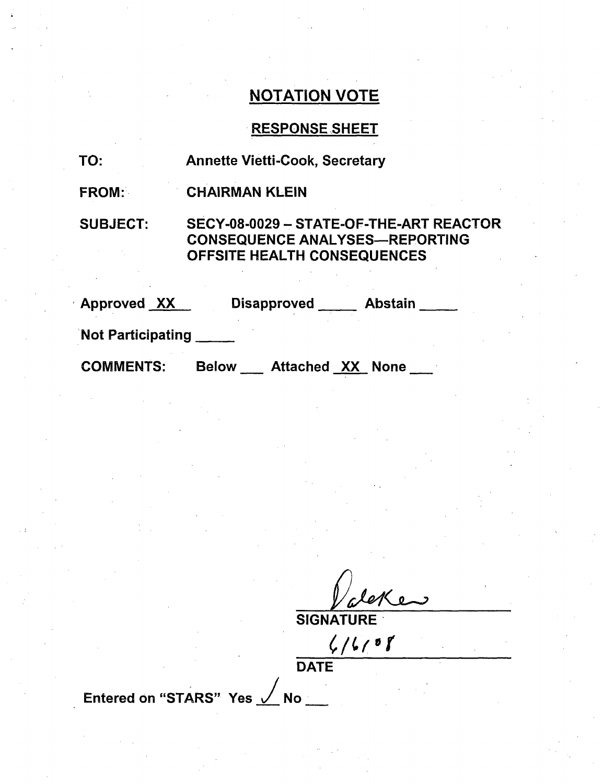# RESPONSE SHEET

Below \_\_\_ Attached XX None \_\_

| TO:                      | <b>Annette Vietti-Cook, Secretary</b>                                                                                  |  |  |
|--------------------------|------------------------------------------------------------------------------------------------------------------------|--|--|
| <b>FROM:</b>             | <b>CHAIRMAN KLEIN</b>                                                                                                  |  |  |
| <b>SUBJECT:</b>          | SECY-08-0029 - STATE-OF-THE-ART REACTOR<br><b>CONSEQUENCE ANALYSES-REPORTING</b><br><b>OFFSITE HEALTH CONSEQUENCES</b> |  |  |
| <b>Approved XX</b>       | Disapproved ___<br>Abstain                                                                                             |  |  |
| <b>Not Participating</b> |                                                                                                                        |  |  |

SIGNATURE'

 $6/6/8f$ <br>DATE

Entered on "STARS" Yes <u>V</u> No \_\_\_

**COMMENTS:**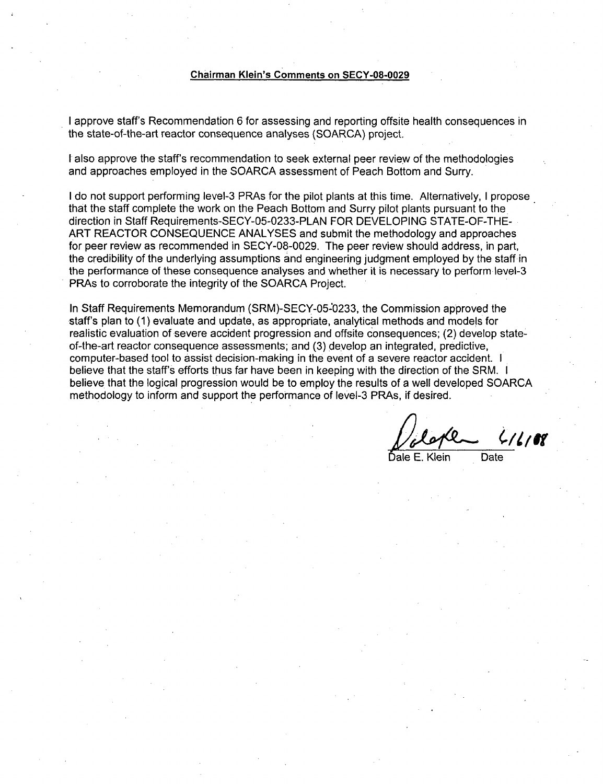### Chairman **Klein's** Comments on **SECY-08-0029**

I approve staff's Recommendation 6 for assessing and reporting offsite health consequences in the state-of-the-art reactor consequence analyses (SOARCA) project.

I also approve the staff's recommendation to seek external peer review of the methodologies and approaches employed in the SOARCA assessment of Peach Bottom and Surry.

I do not support performing level-3 PRAs for the pilot plants at this time. Alternatively, I propose that the staff complete the work on the Peach Bottom and Surry pilot plants pursuant to the direction in Staff Requirements-SECY-05-0233-PLAN FOR DEVELOPING STATE-OF-THE-ART REACTOR CONSEQUENCE ANALYSES and submit the methodology and approaches for peer review as recommended in SECY-08-0029. The peer review should address, in part, the credibility of the underlying assumptions and engineering judgment employed by the staff in the performance of these consequence analyses and whether it is necessary to perform ievel-3 PRAs to corroborate the integrity of the SOARCA Project.

In Staff Requirements Memorandum (SRM)-SECY-05-0233, the Commission approved the staff's plan to (1) evaluate and update, as appropriate, analytical methods and models for realistic evaluation of severe accident progression and offsite consequences; (2) develop stateof-the-art reactor consequence assessments; and (3) develop an integrated, predictive, computer-based tool to assist decision-making in the event of a severe reactor accident. I believe that the staff's efforts thus far have been in keeping with the direction of the SRM. I believe that the logical progression would be to employ the results of a well developed SOARCA methodology to inform and support the performance of level-3 PRAs, if desired.

-///87

Klein Date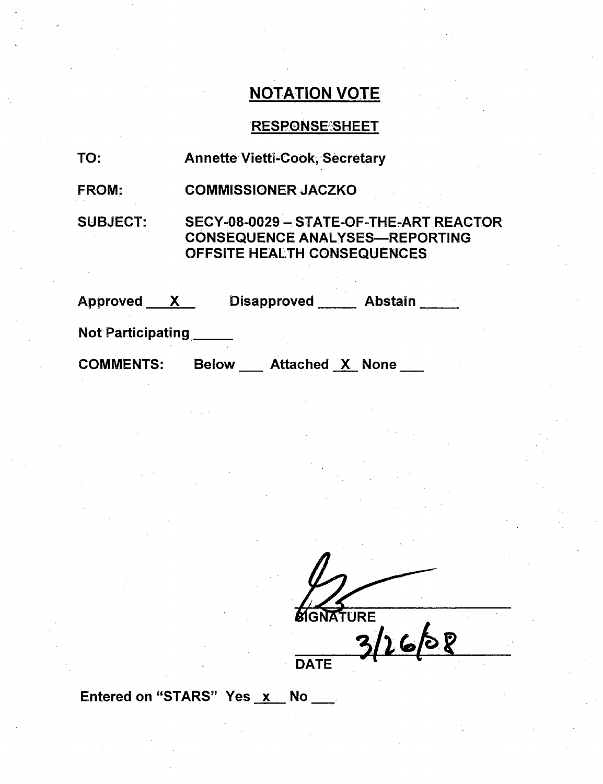# RESPONSESHEET

| TO:                      | <b>Annette Vietti-Cook, Secretary</b> |                                                                                  |
|--------------------------|---------------------------------------|----------------------------------------------------------------------------------|
| <b>FROM:</b>             | <b>COMMISSIONER JACZKO</b>            |                                                                                  |
| <b>SUBJECT:</b>          | <b>OFFSITE HEALTH CONSEQUENCES</b>    | SECY-08-0029 - STATE-OF-THE-ART REACTOR<br><b>CONSEQUENCE ANALYSES-REPORTING</b> |
| Approved X               | Disapproved                           | Abstain                                                                          |
| <b>Not Participating</b> |                                       |                                                                                  |

**COMMENTS:** 

**Below** \_\_\_ Attached <u>X</u> None \_\_\_

*/' h-4000•* **DATE** 

Entered on "STARS" Yes x No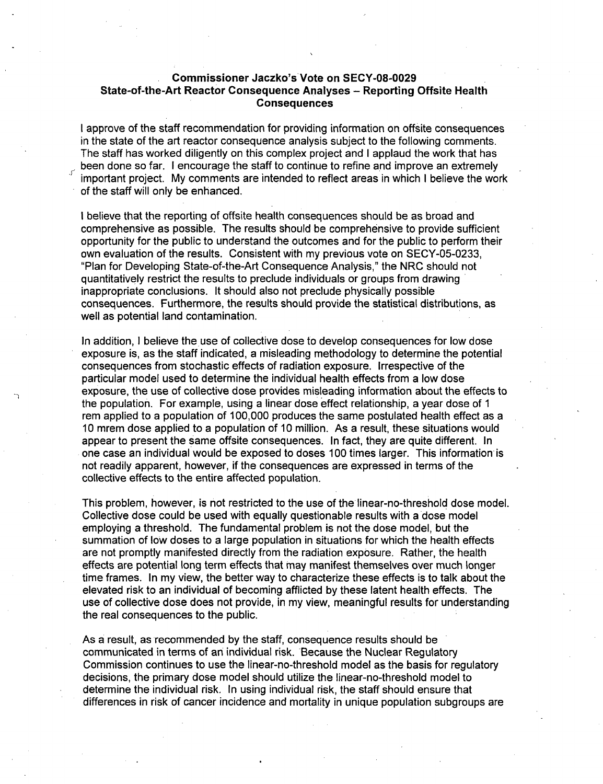### Commissioner Jaczko's Vote on **SECY-08-0029** State-of-the-Art Reactor Consequence Analyses - Reporting Offsite Health Consequences

I approve of the staff recommendation for providing information on offsite consequences in the state of the art reactor consequence analysis subject to the following comments. The staff has worked diligently on this complex project and I applaud the work that has been done so far. I encourage the staff to continue to refine and improve an extremely important project. My comments are intended to reflect areas in which I believe the work of the staff will only be enhanced.

I believe that the reporting of offsite health consequences should be as broad and comprehensive as possible. The results should be comprehensive to provide sufficient opportunity for the public to understand the outcomes and for the public to perform their own evaluation of the results. Consistent with my previous vote on SECY-05-0233, "Plan for Developing State-of-the-Art Consequence Analysis," the NRC should not quantitatively restrict the results to preclude individuals or groups from drawing inappropriate conclusions. It should also not preclude physically possible consequences. Furthermore, the results should provide the statistical distributions, as well as potential land contamination.

In addition, I believe the use of collective dose to develop consequences for low dose exposure is, as the staff indicated, a misleading methodology to determine the potential consequences from stochastic effects of radiation exposure. Irrespective of the particular model used to determine the individual health effects from a low dose exposure, the use of collective dose provides misleading information about the effects to the population. For example, using a linear dose effect relationship, a year dose of 1 rem applied to a population of 100,000 produces the same postulated health effect as a 10 mrem dose applied to a population of 10 million. As a result, these situations would appear to present the same offsite consequences. In fact, they are quite different. In one case an individual would be exposed to doses 100 times larger. This information is not readily apparent, however, if the consequences are expressed in terms of the collective effects to the entire affected population.

This problem, however, is not restricted to the use of the linear-no-threshold dose model. Collective dose could be used with equally questionable results with a dose model employing a threshold. The fundamental problem is not the dose model, but the summation of low doses to a large population in situations for which the health effects are not promptly manifested directly from the radiation exposure. Rather, the health effects are potential long term effects that may manifest themselves over much longer time frames. In my view, the better way to characterize these effects is to talk about the elevated risk to an individual of becoming afflicted by these latent health effects. The use of collective dose does not provide, in my view, meaningful results for understanding the real consequences to the public.

As a result, as recommended by the staff, consequence results should be communicated in terms of an individual risk. Because the Nuclear Regulatory Commission continues to use the linear-no-threshold model as the basis for regulatory decisions, the primary dose model should utilize the linear-no-threshold model to determine the individual risk. In using individual risk, the staff should ensure that differences in risk of cancer incidence and mortality in unique population subgroups are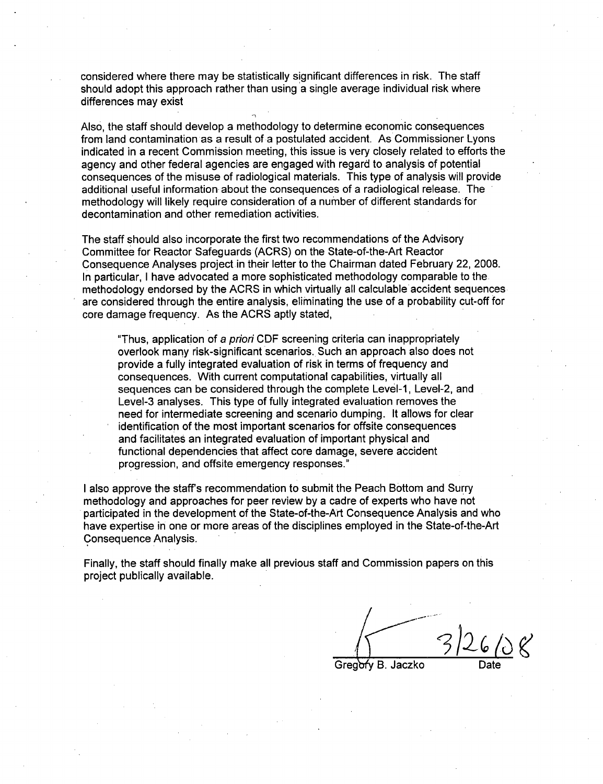considered where there may be statistically significant differences in risk. The staff should adopt this approach rather than using a single average individual risk where differences may exist

Also, the staff should develop a methodology to determine economic consequences from land contamination as a result of a postulated accident. As Commissioner Lyons indicated in a recent Commission meeting, this issue is very closely related to efforts the agency and other federal agencies are engaged with regard to analysis of potential consequences of the misuse of radiological materials. This type of analysis will provide additional useful information about the consequences of a radiological release. The methodology will likely require consideration of a number of different standards for decontamination and other remediation activities.

The staff should also incorporate the first two recommendations of the Advisory Committee for Reactor Safeguards (ACRS) on the State-of-the-Art Reactor Consequence Analyses project in their letter to the Chairman dated February 22, 2008. In particular, I have advocated a more sophisticated methodology comparable to the methodology endorsed by the ACRS in which virtually all calculable accident sequences are considered through the entire analysis, eliminating the use of a probability cut-off for core damage frequency. As the ACRS aptly stated,

"Thus, application of a *priori* CDF screening criteria can inappropriately overlook many risk-significant scenarios. Such an approach also does not provide a fully integrated evaluation of risk in terms of frequency and consequences. With current computational capabilities, virtually all sequences can be considered through the complete Level-1, Level-2, and Level-3 analyses. This type of fully integrated evaluation removes the need for intermediate screening and scenario dumping. It allows for clear identification of the most important scenarios for offsite consequences and facilitates an integrated evaluation of important physical and functional dependencies that affect core damage, severe accident progression, and offsite emergency responses."

I also approve the staff's recommendation to submit the Peach Bottom and Surry methodology and approaches for peer review by a cadre of experts who have not participated in the development of the State-of-the-Art Consequence Analysis and who have expertise in one or more areas of the disciplines employed in the State-of-the-Art Consequence Analysis.

Finally, the staff should finally make all previous staff and Commission papers on this project publically available.

Gregory B. Jaczko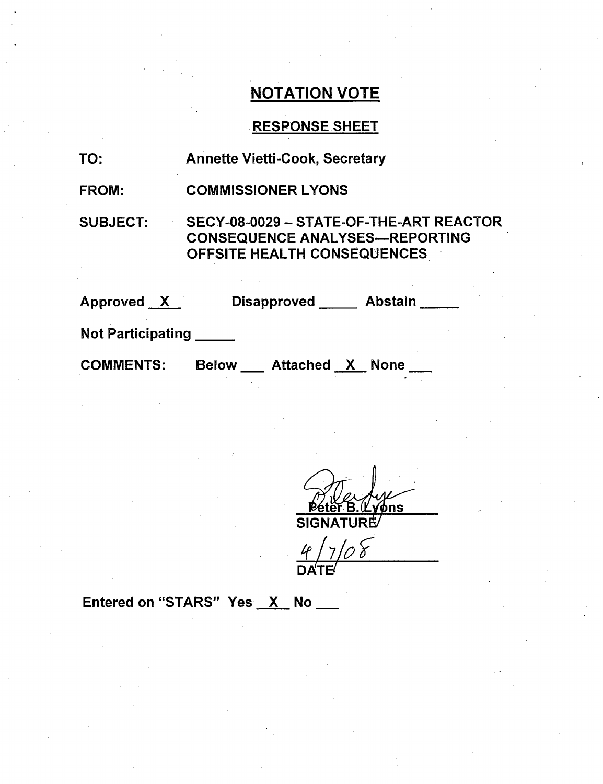# RESPONSE SHEET

| <b>TO:</b>               | <b>Annette Vietti-Cook, Secretary</b>                                                                                  |
|--------------------------|------------------------------------------------------------------------------------------------------------------------|
| <b>FROM:</b>             | <b>COMMISSIONER LYONS</b>                                                                                              |
| <b>SUBJECT:</b>          | SECY-08-0029 - STATE-OF-THE-ART REACTOR<br><b>CONSEQUENCE ANALYSES-REPORTING</b><br><b>OFFSITE HEALTH CONSEQUENCES</b> |
| Approved X               | Disapproved Abstain                                                                                                    |
| <b>Not Participating</b> |                                                                                                                        |
| <b>COMMENTS:</b>         | <b>Attached X None</b><br><b>Below</b>                                                                                 |

**BETTE** VONS

 $\frac{4}{\sqrt{2}} \frac{1}{\sqrt{2}}$ 

Entered on "STARS" Yes  $X$  No  $\_\_\_\_\$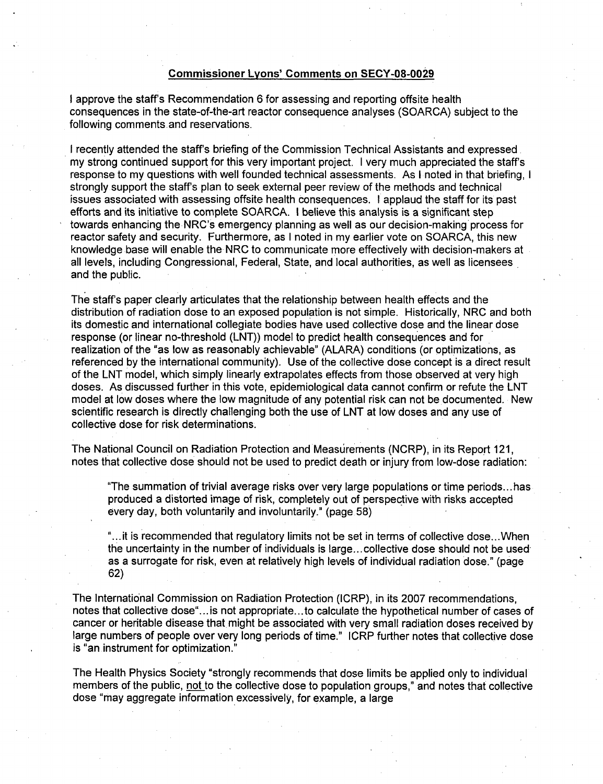#### Commissioner Lyons' Comments on **SECY-08-0029**

I approve the staff's Recommendation 6 for assessing and reporting offsite health consequences in the state-of-the-art reactor consequence analyses (SOARCA) subject to the following comments and reservations.

I recently attended the staff's briefing of the Commission Technical Assistants and expressed my strong continued support for this very important project. I very much appreciated the staffs response to my questions with well founded technical assessments. As I noted in that briefing, I strongly support the staffs plan to seek external peer review of the methods and technical issues associated with assessing offsite health consequences. I applaud the staff for its past efforts and its initiative to complete SOARCA. I believe this analysis is a significant step towards enhancing the NRC's emergency planning as well as our decision-making process for reactor safety and security. Furthermore, as I noted in my earlier vote on SOARCA, this new knowledge base will enable the NRC to communicate more effectively with decision-makers at all levels, including Congressional, Federal, State, and local authorities, as well as licensees and the public.

The staffs paper clearly articulates that the relationship between health effects and the distribution of radiation dose to an exposed population is not simple. Historically, NRC and both its domestic and international collegiate bodies have used collective dose and the linear dose response (or linear no-threshold (LNT)) model to predict health consequences and for realization of the "as low as reasonably achievable" (ALARA) conditions (or optimizations, as referenced by the international community). Use of the collective dose concept is a direct result of the LNT model, which simply linearly extrapolates effects from those observed at very high doses. As discussed further in this vote, epidemiological data cannot confirm or refute the LNT model at low doses where the low magnitude of any potential risk can not be documented. New scientific research is directly challenging both the use of LNT at low doses and any use of collective dose for risk determinations.

The National Council on Radiation Protection and Measurements (NCRP), in its Report 121, notes that collective dose should not be used to predict death or injury from low-dose radiation:

"The summation of trivial average risks over very large populations or time periods.., has produced a distorted image of risk, completely out of perspective with risks accepted every day, both voluntarily and involuntarily." (page 58)

"...it is recommended that regulatory limits not be set in terms of collective dose.. .When the uncertainty in the number of individuals is large... collective dose should not be used as a surrogate for risk, even at relatively high levels of individual radiation dose." (page 62)

The International Commission on Radiation Protection (ICRP), in its 2007 recommendations, notes that collective dose".., is not appropriate.. .to calculate the hypothetical number of cases of cancer or heritable disease that might be associated with very small radiation doses received by large numbers of people over very long periods of time." ICRP further notes that collective dose is "an instrument for optimization."

The Health Physics Society "strongly recommends that dose limits be applied only to individual members of the public, not to the collective dose to population groups," and notes that collective dose "may aggregate information excessively, for example, a large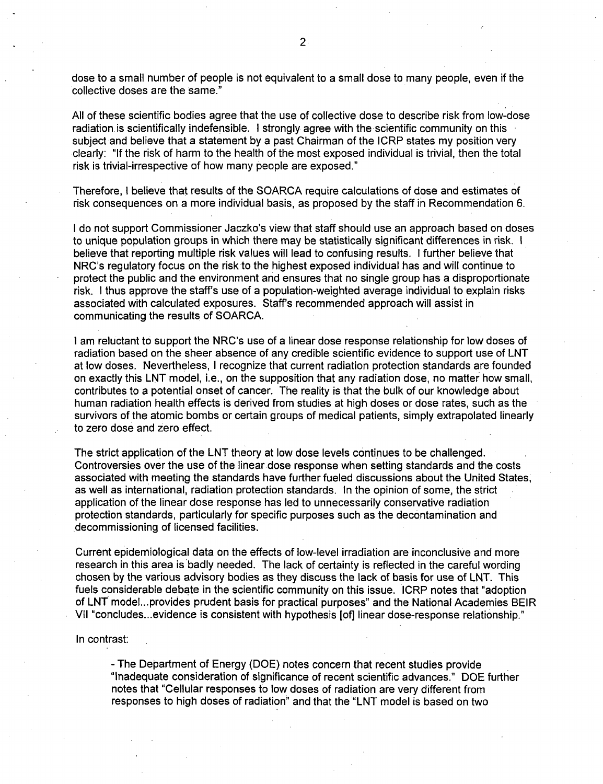dose to a small number of people is not equivalent to a small dose to many people, even if the collective doses are the same."

All of these scientific bodies agree that the use of collective dose to describe risk from low-dose radiation is scientifically indefensible. I strongly agree with the scientific community on this subject and believe that a statement by a past Chairman of the ICRP states my position very clearly: "If the risk of harm to the health of the most exposed individual is trivial, then the total risk is trivial-irrespective of how many people are exposed."

Therefore, I believe that results of the SOARCA require calculations of dose and estimates of risk consequences on a more individual basis, as proposed by the staff in Recommendation 6.

I do not support Commissioner Jaczko's view that staff should use an approach based on doses to unique population groups in which there may be statistically significant differences in risk. I believe that reporting multiple risk values will lead to confusing results. I further believe that NRC's regulatory focus on the risk to the highest exposed individual has and will continue to protect the public and the environment and ensures that no single group has a disproportionate risk. I thus approve the staff's use of a population-weighted average individual to explain risks associated with calculated exposures. Staff's recommended approach will assist in communicating the results of SOARCA.

**I** am reluctant to support the NRC's use of a linear dose response relationship for low doses of radiation based on the sheer absence of any credible scientific evidence to support use of LNT at low doses. Nevertheless, I recognize that current radiation protection standards are founded on exactly this LNT model, i.e., on the supposition that any radiation dose, no matter how small, contributes to a potential onset of cancer. The reality is that the bulk of our knowledge about human radiation health effects is derived from studies at high doses or dose rates, such as the survivors of the atomic bombs or certain groups of medical patients, simply extrapolated linearly to zero dose and zero effect.

The strict application of the LNT theory at low dose levels continues to be challenged. Controversies over the use of the linear dose response when setting standards and the costs associated with meeting the standards have further fueled discussions about the United States, as well as international, radiation protection standards. In the opinion of some, the strict application of the linear dose response has led to unnecessarily conservative radiation protection standards, particularly for specific purposes such as the decontamination and decommissioning of licensed facilities.

Current epidemiological data on the effects of low-level irradiation are inconclusive and more research in this area is badly needed. The lack of certainty is reflected in the careful wording chosen by the various advisory bodies as they discuss the lack of basis for use of LNT. This fuels considerable debate in the scientific community on this issue. ICRP notes that "adoption of LNT model...provides prudent basis for practical purposes" and the National Academies BEIR VII "concludes ...evidence is consistent with hypothesis [of] linear dose-response relationship."

In contrast:

- The Department of Energy (DOE) notes concern that recent studies provide "Inadequate consideration of significance of recent scientific advances." DOE further notes that "Cellular responses to low doses of radiation are very different from responses to high doses of radiation" and that the **"'LNT** model is based on two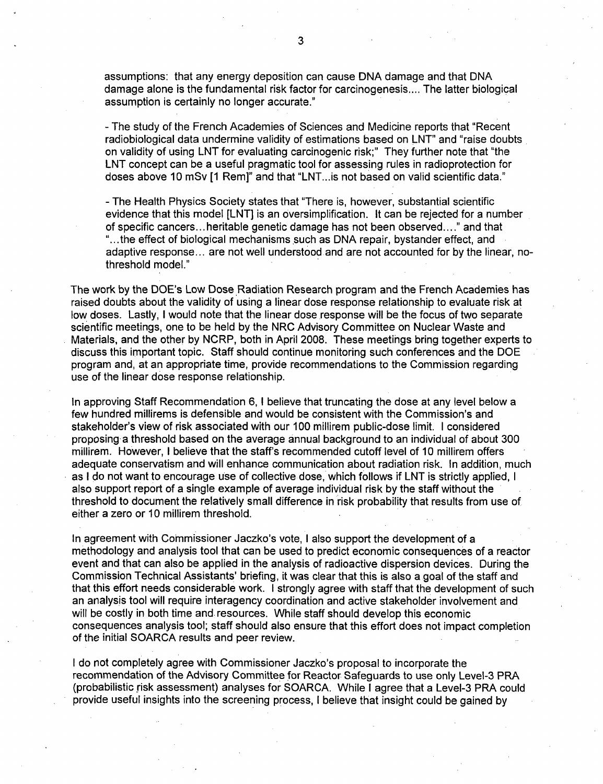assumptions: that any energy deposition can cause DNA damage and that DNA damage alone is the fundamental risk factor for carcinogenesis.... The latter biological assumption is certainly no longer accurate."

- The study of the French Academies of Sciences and Medicine reports that "Recent radiobiological data undermine validity of estimations based on LNT" and "raise doubts on validity of using LNT for evaluating carcinogenic risk;" They further note that "the LNT concept can be a useful pragmatic tool for assessing rules in radioprotection for doses above 10 mSv [1 Rem]" and that "LNT...is not based on valid scientific data."

- The Health Physics Society states that "There is, however, substantial scientific evidence that this model [LNT] is an oversimplification. It can be rejected for a number of specific cancers... heritable genetic damage has not been observed...." and that "...the effect of biological mechanisms such as DNA repair, bystander effect, and adaptive response... are not well understood and are not accounted for by the linear, nothreshold model."

The work by the DOE's Low Dose Radiation Research program and the French Academies has raised doubts about the validity of using a linear dose response relationship to evaluate risk at low doses. Lastly, I would note that the linear dose response will be the focus of two separate scientific meetings, one to be held by the NRC Advisory Committee on Nuclear Waste and Materials, and the other by NCRP, both in April 2008. These meetings bring together experts to discuss this important topic. Staff should continue monitoring such conferences and the DOE program and, at an appropriate time, provide recommendations to the Commission regarding use of the linear dose response relationship.

In approving Staff Recommendation 6, I believe that truncating the dose at any level below a few hundred millirems is defensible and would be consistent with the Commission's and stakeholder's view of risk associated with our 100 millirem public-dose limit. I considered proposing a threshold based on the average annual background to an individual of about 300 millirem. However, I believe that the staff's recommended cutoff level of 10 millirem offers adequate conservatism and will enhance communication about radiation risk. In addition, much as I do not want to encourage use of collective dose, which follows if LNT is strictly applied, I also support report of a single example of average individual risk by the staff without the threshold to document the relatively small difference in risk probability that results from use of either a zero or 10 millirem threshold.

In agreement with Commissioner Jaczko's vote, I also support the development of a methodology and analysis tool that can be used to predict economic consequences of a reactor event and that can also be applied in the analysis of radioactive dispersion devices. During the Commission Technical Assistants' briefing, it was clear that this is also a goal of the staff and that this effort needs considerable work. I strongly agree with staff that the development of such an analysis tool will require interagency coordination and active stakeholder involvement and will be costly in both time and resources. While staff should develop this economic consequences analysis tool; staff should also ensure that this effort does not impact completion of the initial SOARCA results and peer review.

I do not completely agree with Commissioner Jaczko's proposal to incorporate the recommendation of the Advisory Committee for Reactor Safeguards to use only Level-3 PRA (probabilistic risk assessment) analyses for SOARCA. While I agree that a Level-3 PRA could provide useful insights into the screening process, I believe that insight could be gained by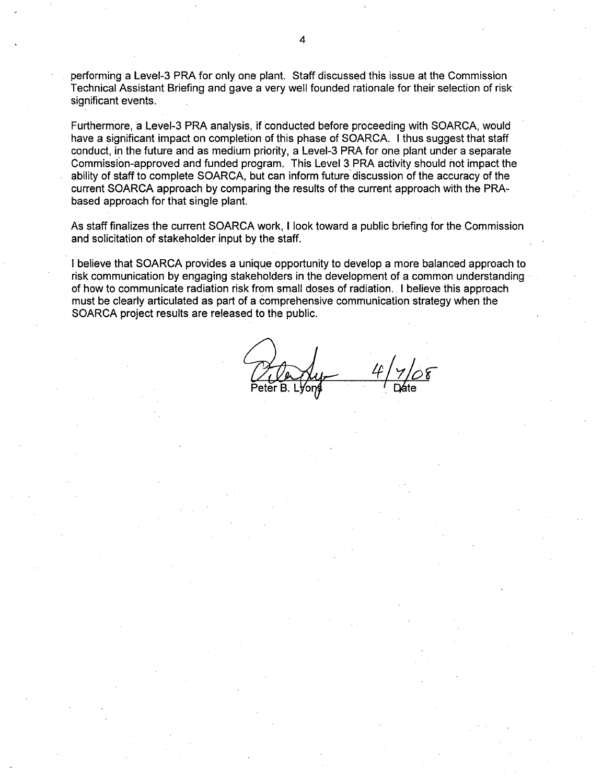performing a Level-3 PRA for only one plant. Staff discussed this issue at the Commission Technical Assistant Briefing and gave a very well founded rationale for their selection of risk significant events.

Furthermore, a Level-3 PRA analysis, if conducted before proceeding with SOARCA, would have a significant impact on completion of this phase of SOARCA. I thus suggest that staff conduct, in the future and as medium priority, a Level-3 PRA for one plant under a separate Commission-approved and funded program. This Level 3 PRA activity should not impact the ability of staff to complete SOARCA, but can inform future discussion of the accuracy of the current SOARCA approach by comparing the results of the current approach with the PRAbased approach for that single plant.

As staff finalizes the current SOARCA work, I look toward a public briefing for the Commission and solicitation of stakeholder input by the staff.

I believe that SOARCA provides a unique opportunity to develop a more balanced approach to risk communication by engaging stakeholders in the development of a common understanding of how to communicate radiation risk from small doses of radiation. I believe this approach must be clearly articulated as part of a comprehensive communication strategy when the SOARCA project results are released to the public.

Peter B. Lyons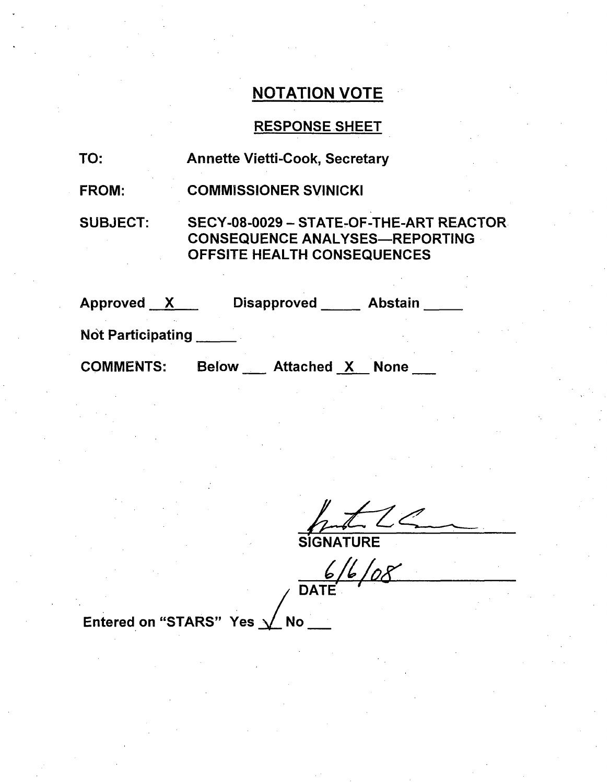# RESPONSE SHEET

| TO:                      | <b>Annette Vietti-Cook, Secretary</b>                                                                                  |
|--------------------------|------------------------------------------------------------------------------------------------------------------------|
| <b>FROM:</b>             | <b>COMMISSIONER SVINICKI</b>                                                                                           |
| <b>SUBJECT:</b>          | SECY-08-0029 - STATE-OF-THE-ART REACTOR<br><b>CONSEQUENCE ANALYSES-REPORTING</b><br><b>OFFSITE HEALTH CONSEQUENCES</b> |
| Approved X               | <b>Disapproved</b><br><b>Abstain</b>                                                                                   |
| <b>Not Participating</b> |                                                                                                                        |

Below \_\_\_ Attached <u>X</u> None \_\_\_

SIGNATURE

**/"DATE**

Entered on "STARS" Yes  $\sqrt{N}$  No

**COMMENTS:**